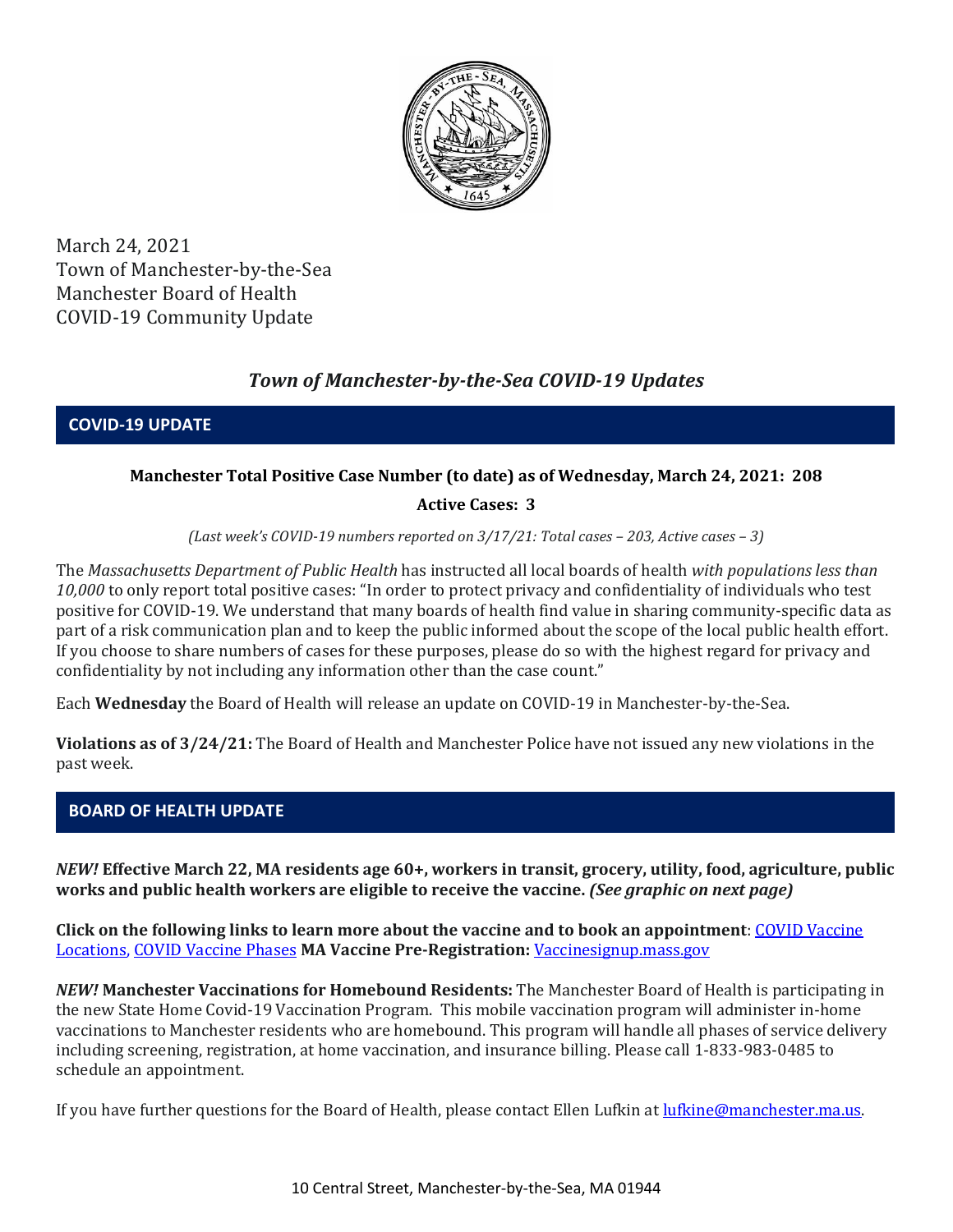

March 24, 2021 Town of Manchester-by-the-Sea Manchester Board of Health COVID-19 Community Update

## *Town of Manchester-by-the-Sea COVID-19 Updates*

**COVID-19 UPDATE**

## **Manchester Total Positive Case Number (to date) as of Wednesday, March 24, 2021: 208**

## **Active Cases: 3**

*(Last week's COVID-19 numbers reported on 3/17/21: Total cases – 203, Active cases – 3)*

The *Massachusetts Department of Public Health* has instructed all local boards of health *with populations less than 10,000* to only report total positive cases: "In order to protect privacy and confidentiality of individuals who test positive for COVID-19. We understand that many boards of health find value in sharing community-specific data as part of a risk communication plan and to keep the public informed about the scope of the local public health effort. If you choose to share numbers of cases for these purposes, please do so with the highest regard for privacy and confidentiality by not including any information other than the case count."

Each **Wednesday** the Board of Health will release an update on COVID-19 in Manchester-by-the-Sea.

**Violations as of 3/24/21:** The Board of Health and Manchester Police have not issued any new violations in the past week.

## **BOARD OF HEALTH UPDATE**

*NEW!* **Effective March 22, MA residents age 60+, workers in transit, grocery, utility, food, agriculture, public works and public health workers are eligible to receive the vaccine.** *(See graphic on next page)*

**Click on the following links to learn more about the vaccine and to book an appointment**[: COVID Vaccine](https://www.mass.gov/info-details/covid-19-vaccination-locations)  [Locations, COVID Vaccine Phases](https://www.mass.gov/info-details/covid-19-vaccination-locations) **MA Vaccine Pre-Registration:** [Vaccinesignup.mass.gov](https://vaccinesignup.mass.gov/#/)

*NEW!* **Manchester Vaccinations for Homebound Residents:** The Manchester Board of Health is participating in the new State Home Covid-19 Vaccination Program. This mobile vaccination program will administer in-home vaccinations to Manchester residents who are homebound. This program will handle all phases of service delivery including screening, registration, at home vaccination, and insurance billing. Please call 1-833-983-0485 to schedule an appointment.

If you have further questions for the Board of Health, please contact Ellen Lufkin at [lufkine@manchester.ma.us.](mailto:lufkine@manchester.ma.us)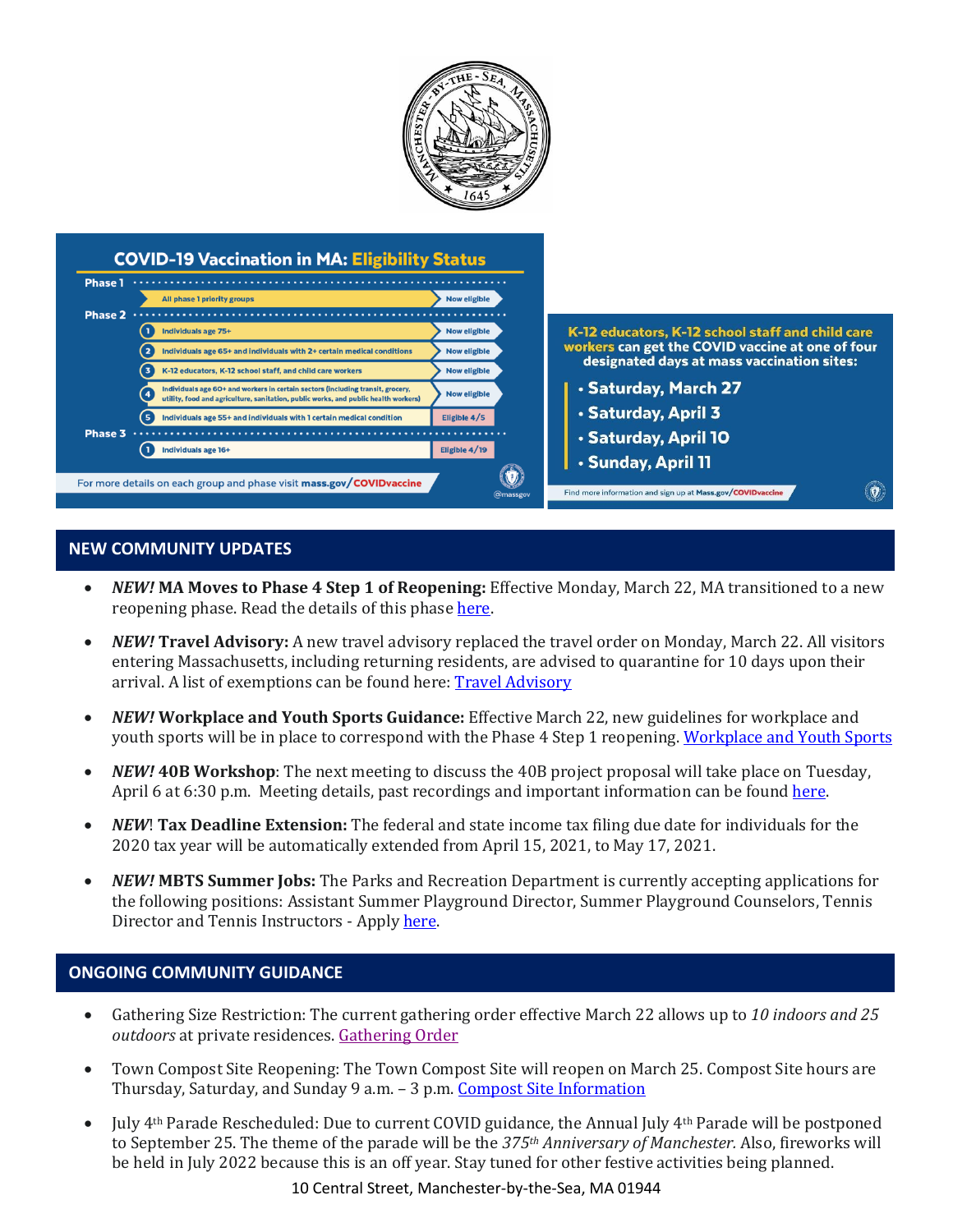

### **NEW COMMUNITY UPDATES**

- *NEW!* **MA Moves to Phase 4 Step 1 of Reopening:** Effective Monday, March 22, MA transitioned to a new reopening phase. Read the details of this phase [here.](https://www.mass.gov/news/baker-polito-administration-announces-transition-to-phase-iv-of-reopening-plan)
- *NEW!* **Travel Advisory:** A new travel advisory replaced the travel order on Monday, March 22. All visitors entering Massachusetts, including returning residents, are advised to quarantine for 10 days upon their arrival. A list of exemptions can be found here[: Travel Advisory](https://www.mass.gov/info-details/covid-19-travel-advisory)
- *NEW!* **Workplace and Youth Sports Guidance:** Effective March 22, new guidelines for workplace and youth sports will be in place to correspond with the Phase 4 Step 1 reopening[. Workplace and Youth Sports](https://www.mass.gov/doc/safety-standards-for-youth-and-adult-amateur-sports-activities-phase-iv-step-1-effective-32221/download)
- *NEW!* **40B Workshop**: The next meeting to discuss the 40B project proposal will take place on Tuesday, April 6 at 6:30 p.m. Meeting details, past recordings and important information can be foun[d here.](http://manchester.ma.us/729/40B)
- *NEW*! **Tax Deadline Extension:** The federal and state income tax filing due date for individuals for the 2020 tax year will be automatically extended from April 15, 2021, to May 17, 2021.
- *NEW!* **MBTS Summer Jobs:** The Parks and Recreation Department is currently accepting applications for the following positions: Assistant Summer Playground Director, Summer Playground Counselors, Tennis Director and Tennis Instructors - Apply [here.](https://www.manchester.ma.us/268/Parks-Recreation)

#### **ONGOING COMMUNITY GUIDANCE**

- Gathering Size Restriction: The current gathering order effective March 22 allows up to *10 indoors and 25 outdoors* at private residences. [Gathering Order](https://www.manchester.ma.us/DocumentCenter/View/3746/Signed-Appendix-for-Gatherings-Order-31821)
- Town Compost Site Reopening: The Town Compost Site will reopen on March 25. Compost Site hours are Thursday, Saturday, and Sunday 9 a.m. – 3 p.m[. Compost Site Information](https://www.manchester.ma.us/413/Yard-Compost-Site)
- July 4th Parade Rescheduled: Due to current COVID guidance, the Annual July 4th Parade will be postponed to September 25. The theme of the parade will be the *375th Anniversary of Manchester.* Also, fireworks will be held in July 2022 because this is an off year. Stay tuned for other festive activities being planned.

10 Central Street, Manchester-by-the-Sea, MA 01944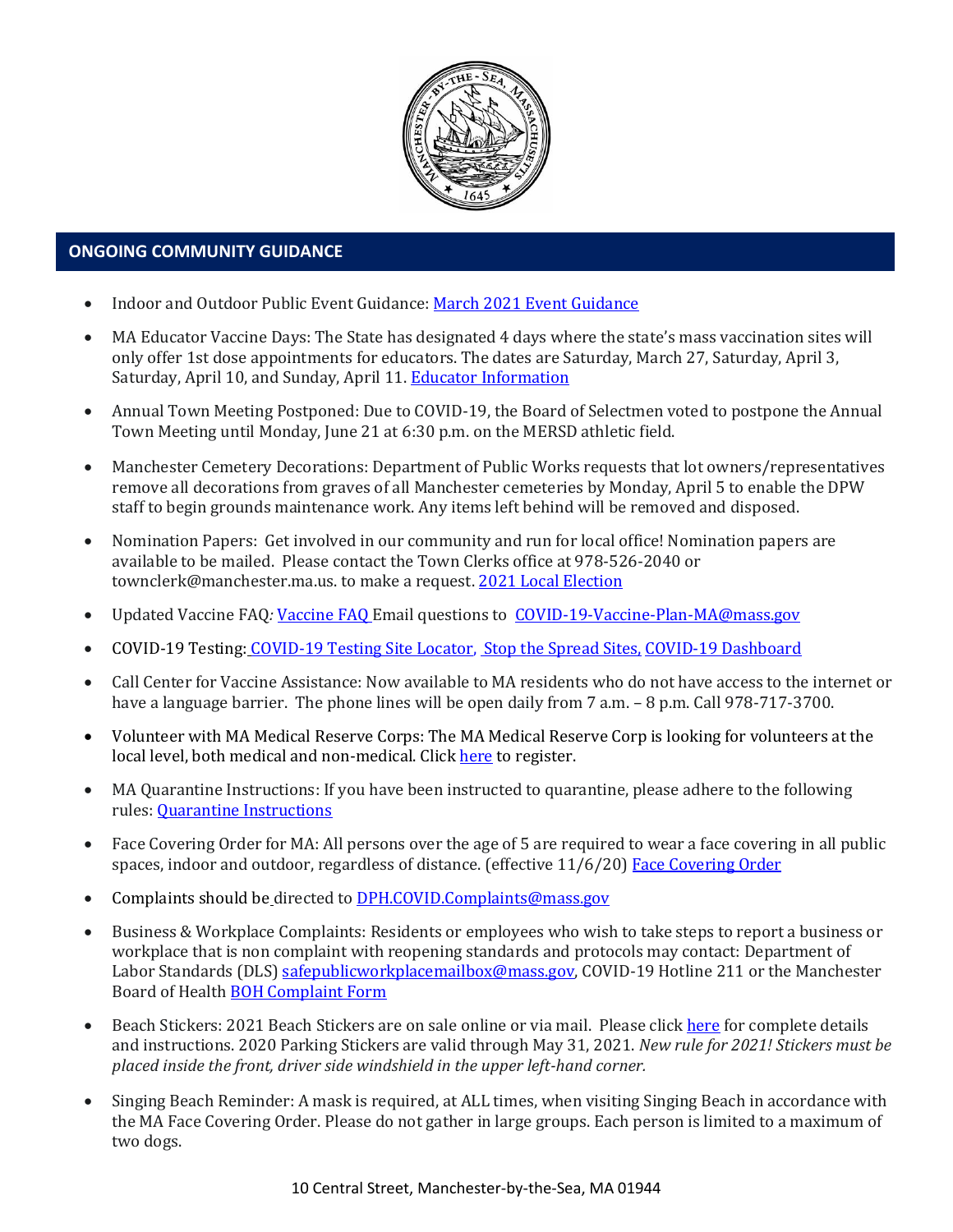

# • **ONGOING COMMUNITY GUIDANCE**

- Indoor and Outdoor Public Event Guidance[: March 2021 Event Guidance](https://www.manchester.ma.us/DocumentCenter/View/3736/Final_Indoor-and-Outdoor-Events-Guidance-31121)
- MA Educator Vaccine Days: The State has designated 4 days where the state's mass vaccination sites will only offer 1st dose appointments for educators. The dates are Saturday, March 27, Saturday, April 3, Saturday, April 10, and Sunday, April 11. [Educator Information](https://www.mass.gov/info-details/covid-19-vaccinations-for-k-12-educators-child-care-workers-and-school-staff)
- Annual Town Meeting Postponed: Due to COVID-19, the Board of Selectmen voted to postpone the Annual Town Meeting until Monday, June 21 at 6:30 p.m. on the MERSD athletic field.
- Manchester Cemetery Decorations: Department of Public Works requests that lot owners/representatives remove all decorations from graves of all Manchester cemeteries by Monday, April 5 to enable the DPW staff to begin grounds maintenance work. Any items left behind will be removed and disposed.
- Nomination Papers: Get involved in our community and run for local office! Nomination papers are available to be mailed. Please contact the Town Clerks office at 978-526-2040 or townclerk@manchester.ma.us. to make a request[. 2021 Local Election](http://manchester.ma.us/503/Town-Meetings-and-Elections)
- Updated [Vaccine FAQ](https://www.mass.gov/doc/covid-19-vaccine-frequently-asked-questions/download): Vaccine FAQ Email questions to [COVID-19-Vaccine-Plan-MA@mass.gov](file:///C:/Users/marlettat/Desktop/Public%20Relations/2021/COVID-19-Vaccine-Plan-MA@mass.gov)
- COVID-19 Testing: [COVID-19 Testing Site Locator,](https://memamaps.maps.arcgis.com/apps/webappviewer/index.html?id=eba3f0395451430b9f631cb095febf13) [Stop the Spread Sites,](https://www.mass.gov/info-details/stop-the-spread) [COVID-19 Dashboard](https://www.mass.gov/info-details/covid-19-response-reporting#covid-19-interactive-data-dashboard-)
- Call Center for Vaccine Assistance: Now available to MA residents who do not have access to the internet or have a language barrier. The phone lines will be open daily from 7 a.m.  $-8$  p.m. Call 978-717-3700.
- Volunteer with MA Medical Reserve Corps: The MA Medical Reserve Corp is looking for volunteers at the local level, both medical and non-medical. Clic[k here](https://l.facebook.com/l.php?u=https%3A%2F%2Fwww.mamedicalreservecorps.org%2Fcovid19%3Ffbclid%3DIwAR1O_7U70XMSPe_kbb689S7zAJbCTYavpqNhIz9Ce2s-encj1Mlz3fOmjYI&h=AT3a2b6zxupFiw2RA_9kLVFDLZwmtblukw3wwe3pvVN6YWtLrkwxEyW8Z8S97uuzXDiNt1x4DYp7DeOoXm1U98GjBQQufV4R5eC5sYpFoqMi6iMDgiQu2THu_d0XoA0BnNUMg336NM-KtUxjtQ&__tn__=-UK-R&c%5b0%5d=AT2anP_ULhxU-U55t7AxrMiNTXfNIJnoicfzRyKEGzk_70Dtxb6ttNSKpwftDkeovmenW9ksjPEmhjSrMDjZ_NEMD2Upi_WEREnPIZBLU-8cgapV1WMi5HvUjS0InF_0K4aE4PXV6bei0V79lnY9jSo89LgXHVCMF9u0-PYa4j6cBMOzl7xPt7oB2_WGVQ8cDciW8b9U) to register.
- MA Quarantine Instructions: If you have been instructed to quarantine, please adhere to the following rules: [Quarantine Instructions](http://manchester.ma.us/DocumentCenter/View/3558/14-10-7-day-COVID19_Quarantine-information-1272020)
- Face Covering Order for MA: All persons over the age of 5 are required to wear a face covering in all public spaces, indoor and outdoor, regardless of distance. (effective 11/6/20) [Face Covering Order](http://manchester.ma.us/DocumentCenter/View/3499/Revised-Face-Coverings-Order-No-55-1?fbclid=IwAR1a7l39TKetEAZ_mA8K6saG2GZ1dRBKA9-xuJJ3tDlAVUGCp7YatZmCKEo)
- Complaints should be directed to **DPH.COVID.Complaints@mass.gov**
- Business & Workplace Complaints: Residents or employees who wish to take steps to report a business or workplace that is non complaint with reopening standards and protocols may contact: Department of Labor Standards (DLS[\) safepublicworkplacemailbox@mass.gov,](mailto:safepublicworkplacemailbox@mass.gov) COVID-19 Hotline 211 or the Manchester Board of Health [BOH Complaint Form](http://manchester.ma.us/DocumentCenter/View/3282/Board-of-Health-Complaint-Form-2020)
- Beach Stickers: 2021 Beach Stickers are on sale online or via mail. Please clic[k here](http://manchester.ma.us/252/Beach-Resident-Parking-Stickers) for complete details and instructions. 2020 Parking Stickers are valid through May 31, 2021. *New rule for 2021! Stickers must be placed inside the front, driver side windshield in the upper left-hand corner.*
- Singing Beach Reminder: A mask is required, at ALL times, when visiting Singing Beach in accordance with the MA Face Covering Order. Please do not gather in large groups. Each person is limited to a maximum of two dogs.